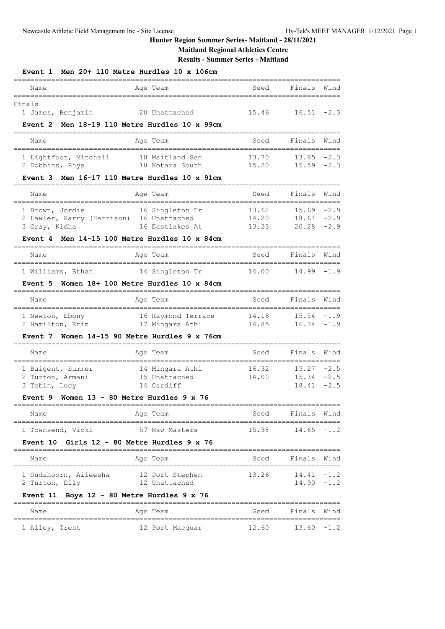**Maitland Regional Athletics Centre**

**Results - Summer Series - Maitland**

| Event 1                                  | Men 20+ 110 Metre Hurdles 10 x 106cm         |       |                               |                     |
|------------------------------------------|----------------------------------------------|-------|-------------------------------|---------------------|
| Name                                     | Age Team                                     | Seed  | Finals                        | Wind                |
| Finals                                   |                                              |       |                               |                     |
| 1 James, Benjamin                        | 20 Unattached                                | 15.46 | 16.51                         | $-2.3$              |
| Event 2                                  | Men 18-19 110 Metre Hurdles 10 x 99cm        |       |                               |                     |
| Name                                     | Age Team                                     | Seed  | Finals                        | Wind                |
| 1 Lightfoot, Mitchell                    | 18 Maitland Sen                              | 13.70 | 13.85                         | $-2.3$              |
| 2 Dobbins, Rhys                          | 18 Kotara South                              | 15.20 | 15.59                         | $-2.3$              |
| Event 3                                  | Men 16-17 110 Metre Hurdles 10 x 91cm        |       |                               |                     |
| Name                                     | Age Team                                     | Seed  | Finals<br>===============     | Wind                |
| 1 Brown, Jordie                          | 16 Singleton Tr                              | 13.62 | 15.69                         | $-2.9$              |
| 2 Lawler, Harry (Harrison) 16 Unattached |                                              | 14.20 | 18.61                         | $-2.9$              |
| 3 Gray, Kidha                            | 16 Eastlakes At                              | 13.23 | 20.28                         | $-2.9$              |
| Event 4                                  | Men 14-15 100 Metre Hurdles 10 x 84cm        |       |                               |                     |
| Name                                     | Age Team                                     | Seed  | Finals                        | Wind                |
| 1 Williams, Ethan                        | 14 Singleton Tr                              | 14.00 | 14.99                         | -1.9                |
| Event 5                                  | Women 18+ 100 Metre Hurdles 10 x 84cm        |       |                               |                     |
| Name                                     | Age Team                                     | Seed  | Finals                        | Wind                |
| 1 Newton, Ebony                          | 16 Raymond Terrace                           | 14.16 | $15.54 - 1.9$                 |                     |
| 2 Hamilton, Erin                         | 17 Mingara Athl                              | 14.85 | 16.34                         | -1.9                |
| Event 7                                  | Women 14-15 90 Metre Hurdles 9 x 76cm        |       |                               |                     |
| Name                                     | Age Team                                     | Seed  | Finals                        | Wind                |
| 1 Baigent, Summer                        | 14 Mingara Athl                              | 16.32 | 15.27                         | :========<br>$-2.5$ |
| 2 Turton, Armani                         | 15 Unattached                                | 14.00 | 15.34                         | $-2.5$              |
| 3 Tobin, Lucy                            | 14 Cardiff                                   |       | 18.41                         | $-2.5$              |
| Event 9                                  | Women $13 - 80$ Metre Hurdles $9 \times 76$  |       |                               |                     |
| Name                                     | Age Team                                     | Seed  | Finals                        | Wind                |
| 1 Townsend, Vicki                        | 57 Nsw Masters                               | 15.38 | 14.65                         | -1.2                |
| <b>Event 10</b>                          | Girls $12 - 80$ Metre Hurdles $9 \times 76$  |       |                               |                     |
| Name                                     | Age Team<br>=====================            | Seed  | Finals<br>=================== | Wind                |
| 1 Oudshoorn, Aileesha                    | 12 Port Stephen                              | 13.26 | $14.41 - 1.2$                 |                     |
| 2 Turton, Elly                           | 12 Unattached                                |       | 14.90                         | $-1.2$              |
| Event 11                                 | Boys 12 - 80 Metre Hurdles 9 x 76<br>$=====$ |       |                               |                     |
| Name                                     | Age Team                                     | Seed  | Finals                        | Wind                |
| 1 Alley, Trent                           | 12 Port Macquar                              | 12.60 | 13.60                         | $-1.2$              |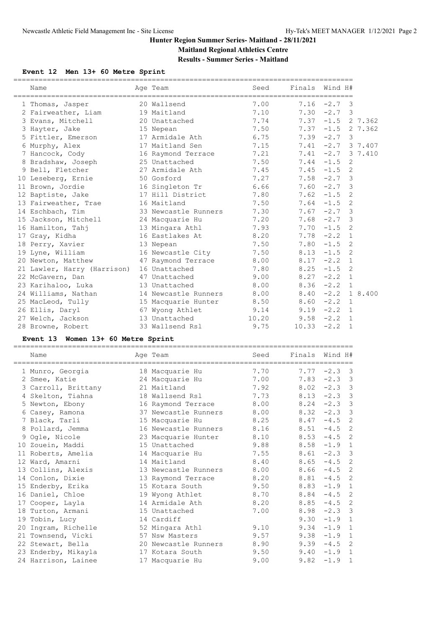**Results - Summer Series - Maitland**

## **Event 12 Men 13+ 60 Metre Sprint**

| Name                             |                          | Seed  | Finals Wind H# |                     |              |         |
|----------------------------------|--------------------------|-------|----------------|---------------------|--------------|---------|
|                                  | Age Team                 |       |                |                     |              |         |
| 1 Thomas, Jasper                 | 20 Wallsend              | 7.00  |                | $7.16 -2.7$ 3       |              |         |
| 2 Fairweather, Liam 19 Maitland  |                          | 7.10  |                | $7.30 -2.7$ 3       |              |         |
| 3 Evans, Mitchell                | 20 Unattached            | 7.74  |                | $7.37 -1.5$ 2 7.362 |              |         |
| 3 Hayter, Jake                   | 15 Nepean                | 7.50  | $7.37 - 1.5$   |                     |              | 2 7.362 |
| 5 Fittler, Emerson               | 17 Armidale Ath          | 6.75  |                | $7.39 -2.7$         | 3            |         |
| 6 Murphy, Alex                   | 17 Maitland Sen          | 7.15  |                | $7.41 -2.7 3 7.407$ |              |         |
| 7 Hancock, Cody                  | 16 Raymond Terrace       | 7.21  |                | $7.41 -2.7 3 7.410$ |              |         |
| 8 Bradshaw, Joseph               | 25 Unattached            | 7.50  |                | $7.44 - 1.5$        | 2            |         |
| 9 Bell, Fletcher                 | 27 Armidale Ath          | 7.45  |                | $7.45 - 1.5$        | 2            |         |
| 10 Leseberg, Ernie               | 50 Gosford               | 7.27  |                | $7.58 -2.7$ 3       |              |         |
| 11 Brown, Jordie                 | 16 Singleton Tr          | 6.66  |                | $7.60 -2.7$         | 3            |         |
| 12 Baptiste, Jake                | 17 Hill District         | 7.80  |                | $7.62 - 1.5$        | 2            |         |
| 13 Fairweather, Trae 16 Maitland |                          | 7.50  |                | $7.64 -1.5$         | 2            |         |
| 14 Eschbach, Tim                 | 33 Newcastle Runners     | 7.30  |                | $7.67 -2.7$ 3       |              |         |
| 15 Jackson, Mitchell             | 24 Macquarie Hu          | 7.20  |                | $7.68 - 2.7$ 3      |              |         |
| 16 Hamilton, Tahj                | 13 Mingara Athl          | 7.93  |                | $7.70 - 1.5$        | 2            |         |
| 17 Gray, Kidha                   | 16 Eastlakes At          | 8.20  |                | $7.78 - 2.2 1$      |              |         |
| 18 Perry, Xavier                 | 13 Nepean                | 7.50  |                | $7.80 - 1.5$        | 2            |         |
| 19 Lyne, William                 | 16 Newcastle City        | 7.50  |                | $8.13 - 1.5$        | 2            |         |
| 20 Newton, Matthew               | 47 Raymond Terrace 8.00  |       | 8.17           | $-2.2$              | $\mathbf{1}$ |         |
| 21 Lawler, Harry (Harrison)      | 16 Unattached            | 7.80  | 8.25           | $-1.5$              | 2            |         |
| 22 McGavern, Dan                 | 47 Unattached            | 9.00  | 8.27           | $-2.2$ 1            |              |         |
| 23 Karihaloo, Luka               | 13 Unattached            | 8.00  |                | $8.36 -2.2$ 1       |              |         |
| 24 Williams, Nathan              | 14 Newcastle Runners     | 8.00  |                | $8.40 -2.2 1 8.400$ |              |         |
| 25 MacLeod, Tully                | 15 Macquarie Hunter 8.50 |       | 8.60           | $-2.2$              | $\mathbf{1}$ |         |
| 26 Ellis, Daryl                  | 67 Wyong Athlet          | 9.14  |                | $9.19 -2.2 1$       |              |         |
| 27 Welch, Jackson 13 Unattached  |                          | 10.20 | 9.58           | $-2.2 \quad 1$      |              |         |
| 28 Browne, Robert                | 33 Wallsend Rsl          | 9.75  | 10.33          | $-2.2$              | $\mathbf{1}$ |         |

## **Event 13 Women 13+ 60 Metre Sprint**

| Name                | Age Team                             | Seed |      | Finals Wind H#         |
|---------------------|--------------------------------------|------|------|------------------------|
| 1 Munro, Georgia    | :================<br>18 Macquarie Hu | 7.70 | 7.77 | $-2.3$ 3               |
| 2 Smee, Katie       | 24 Macquarie Hu                      | 7.00 |      | $7.83 - 2.3$ 3         |
| 3 Carroll, Brittany | 21 Maitland                          | 7.92 |      | $8.02 -2.3$ 3          |
| 4 Skelton, Tiahna   | 18 Wallsend Rsl                      | 7.73 |      | $8.13 - 2.3$ 3         |
| 5 Newton, Ebony     | 16 Raymond Terrace                   | 8.00 |      | $8.24 -2.3$ 3          |
| 6 Casey, Ramona     | 37 Newcastle Runners                 | 8.00 | 8.32 | $-2.3$ 3               |
| 7 Black, Tarli      | 15 Macquarie Hu                      | 8.25 | 8.47 | 2<br>$-4.5$            |
| 8 Pollard, Jemma    | 16 Newcastle Runners                 | 8.16 | 8.51 | 2<br>$-4.5$            |
| 9 Ogle, Nicole      | 23 Macquarie Hunter                  | 8.10 | 8.53 | 2<br>$-4.5$            |
| 10 Zouein, Maddi    | 15 Unattached                        | 9.88 | 8.58 | $-1.9$<br>$\mathbf{1}$ |
| 11 Roberts, Amelia  | 14 Macquarie Hu                      | 7.55 | 8.61 | $-2.3$ 3               |
| 12 Ward, Amarni     | 14 Maitland                          | 8,40 | 8.65 | 2<br>$-4.5$            |
| 13 Collins, Alexis  | 13 Newcastle Runners                 | 8.00 | 8.66 | 2<br>$-4.5$            |
| 14 Conlon, Dixie    | 13 Raymond Terrace                   | 8.20 | 8.81 | $-4.5$<br>2            |
| 15 Enderby, Erika   | 15 Kotara South                      | 9.50 | 8.83 | $-1.9$<br>1            |
| 16 Daniel, Chloe    | 19 Wyong Athlet                      | 8.70 | 8.84 | 2<br>$-4.5$            |
| 17 Cooper, Layla    | 14 Armidale Ath                      | 8.20 | 8.85 | 2<br>$-4.5$            |
| 18 Turton, Armani   | 15 Unattached                        | 7.00 | 8.98 | $-2.3$ 3               |
| 19 Tobin, Lucy      | 14 Cardiff                           |      | 9.30 | $-1.9$<br>$\mathbf{1}$ |
| 20 Ingram, Richelle | 52 Mingara Athl                      | 9.10 | 9.34 | $-1.9$<br>1            |
| 21 Townsend, Vicki  | 57 Nsw Masters                       | 9.57 | 9.38 | $-1.9$<br>1            |
| 22 Stewart, Bella   | 20 Newcastle Runners                 | 8.90 | 9.39 | 2<br>$-4.5$            |
| 23 Enderby, Mikayla | 17 Kotara South                      | 9.50 | 9.40 | $-1.9$ 1               |
| 24 Harrison, Lainee | 17 Macquarie Hu                      | 9.00 | 9.82 | $-1.9$<br>1            |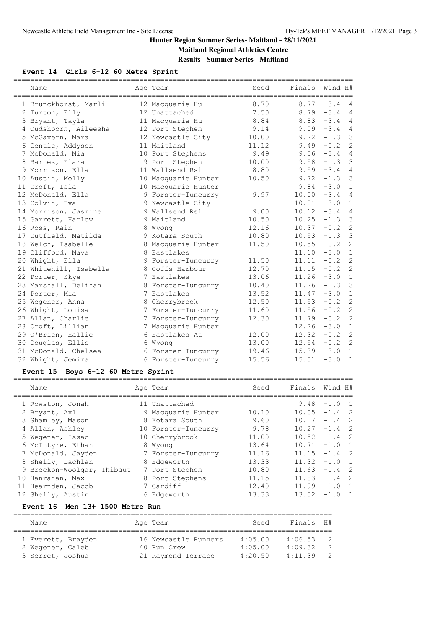# **Results - Summer Series - Maitland**

#### **Event 14 Girls 6-12 60 Metre Sprint**

| Name                   | Age Team            | Seed  | Finals        | Wind H#                        |
|------------------------|---------------------|-------|---------------|--------------------------------|
| 1 Brunckhorst, Marli   | 12 Macquarie Hu     | 8.70  |               | $8.77 - 3.4$<br>$\overline{4}$ |
| 2 Turton, Elly         | 12 Unattached       | 7.50  |               | $8.79 - 3.4$<br>$\overline{4}$ |
| 3 Bryant, Tayla        | 11 Macquarie Hu     | 8.84  |               | $8.83 - 3.4$<br>$\overline{4}$ |
| 4 Oudshoorn, Aileesha  | 12 Port Stephen     | 9.14  |               | $\overline{4}$<br>$9.09 - 3.4$ |
| 5 McGavern, Mara       | 12 Newcastle City   | 10.00 | 9.22          | $\mathbf{3}$<br>$-1.3$         |
| 6 Gentle, Addyson      | 11 Maitland         | 11.12 | 9.49          | $-0.2$<br>$\overline{c}$       |
| 7 McDonald, Mia        | 10 Port Stephens    | 9.49  |               | $9.56 - 3.4$<br>$\overline{4}$ |
| 8 Barnes, Elara        | 9 Port Stephen      | 10.00 | 9.58          | $\mathbf{3}$<br>$-1.3$         |
| 9 Morrison, Ella       | 11 Wallsend Rsl     | 8.80  |               | $9.59 - 3.4$<br>$\overline{4}$ |
| 10 Austin, Molly       | 10 Macquarie Hunter | 10.50 | 9.72          | $-1.3$<br>$\mathcal{S}$        |
| 11 Croft, Isla         | 10 Macquarie Hunter |       | 9.84          | $-3.0$<br>$\mathbf{1}$         |
| 12 McDonald, Ella      | 9 Forster-Tuncurry  | 9.97  | 10.00         | $-3.4$<br>$\overline{4}$       |
| 13 Colvin, Eva         | 9 Newcastle City    |       | 10.01         | $-3.0$<br>$\mathbf{1}$         |
| 14 Morrison, Jasmine   | 9 Wallsend Rsl      | 9.00  | $10.12 -3.4$  | $\overline{4}$                 |
| 15 Garrett, Harlow     | 9 Maitland          | 10.50 | $10.25 - 1.3$ | $\mathcal{E}$                  |
| 16 Ross, Rain          | 8 Wyong             | 12.16 | $10.37 - 0.2$ | $\overline{c}$                 |
| 17 Cutfield, Matilda   | 9 Kotara South      | 10.80 |               | $\mathcal{S}$<br>$10.53 -1.3$  |
| 18 Welch, Isabelle     | 8 Macquarie Hunter  | 11.50 | 10.55         | $\overline{c}$<br>$-0.2$       |
| 19 Clifford, Mava      | 8 Eastlakes         |       | 11.10         | $-3.0$<br>$\mathbf{1}$         |
| 20 Whight, Ella        | 9 Forster-Tuncurry  | 11.50 | 11.11         | $\overline{c}$<br>$-0.2$       |
| 21 Whitehill, Isabella | 8 Coffs Harbour     | 12.70 | 11.15         | $-0.2$<br>$\overline{c}$       |
| 22 Porter, Skye        | 7 Eastlakes         | 13.06 | $11.26 - 3.0$ | $\mathbf{1}$                   |
| 23 Marshall, Delihah   | 8 Forster-Tuncurry  | 10.40 | 11.26         | $\overline{3}$<br>$-1.3$       |
| 24 Porter, Mia         | 7 Eastlakes         | 13.52 | 11.47         | $-3.0$<br>$\mathbf{1}$         |
| 25 Wegener, Anna       | 8 Cherrybrook       | 12.50 | 11.53         | $\overline{c}$<br>$-0.2$       |
| 26 Whight, Louisa      | 7 Forster-Tuncurry  | 11.60 | 11.56         | $\overline{c}$<br>$-0.2$       |
| 27 Allan, Charlie      | 7 Forster-Tuncurry  | 12.30 | 11.79         | $\overline{c}$<br>$-0.2$       |
| 28 Croft, Lillian      | 7 Macquarie Hunter  |       | 12.26         | $-3.0$<br>$\mathbf{1}$         |
| 29 O'Brien, Hallie     | 6 Eastlakes At      | 12.00 | 12.32         | $\overline{c}$<br>$-0.2$       |
| 30 Douglas, Ellis      | 6 Wyong             | 13.00 | 12.54         | $\overline{c}$<br>$-0.2$       |
| 31 McDonald, Chelsea   | 6 Forster-Tuncurry  | 19.46 | $15.39 - 3.0$ | $\mathbf{1}$                   |
| 32 Whight, Jemima      | 6 Forster-Tuncurry  | 15.56 | 15.51         | $-3.0$<br>$\mathbf{1}$         |
|                        |                     |       |               |                                |

## **Event 15 Boys 6-12 60 Metre Sprint**

| Name                       | Age Team            | Seed  | Finals | Wind H#                  |
|----------------------------|---------------------|-------|--------|--------------------------|
| 1 Rowston, Jonah           | 11 Unattached       |       | 9.48   | $-1.0$ 1                 |
| 2 Bryant, Axl              | 9 Macquarie Hunter  | 10.10 | 10.05  | $-1.4$ 2                 |
| 3 Shamley, Mason           | 8 Kotara South      | 9.60  | 10.17  | $-1.4$ 2                 |
| 4 Allan, Ashley            | 10 Forster-Tuncurry | 9.78  | 10.27  | $-1.4$<br>$\overline{2}$ |
| 5 Wegener, Issac           | 10 Cherrybrook      | 11.00 | 10.52  | $\overline{2}$<br>$-1.4$ |
| 6 McIntyre, Ethan          | 8 Wyong             | 13.64 | 10.71  | $-1.0$ 1                 |
| 7 McDonald, Jayden         | 7 Forster-Tuncurry  | 11.16 | 11.15  | $-1.4$ 2                 |
| 8 Shelly, Lachlan          | 8 Edgeworth         | 13.33 | 11.32  | $-1.0$<br>$\overline{1}$ |
| 9 Breckon-Woolgar, Thibaut | 7 Port Stephen      | 10.80 | 11.63  | $\overline{2}$<br>$-1.4$ |
| 10 Hanrahan, Max           | 8 Port Stephens     | 11.15 | 11.83  | $\overline{2}$<br>$-1.4$ |
| 11 Hearnden, Jacob         | 7 Cardiff           | 12.40 | 11.99  | $-1.0$ 1                 |
| 12 Shelly, Austin          | 6 Edgeworth         | 13.33 | 13.52  | $-1.0$<br>$\overline{1}$ |

#### **Event 16 Men 13+ 1500 Metre Run**

| Name               |  | Age Team             | Seed    | Finals H# |                |  |  |  |  |  |
|--------------------|--|----------------------|---------|-----------|----------------|--|--|--|--|--|
|                    |  |                      |         |           |                |  |  |  |  |  |
| 1 Everett, Brayden |  | 16 Newcastle Runners | 4:05.00 | 4:06.53   | $\overline{2}$ |  |  |  |  |  |
| 2 Wegener, Caleb   |  | 40 Run Crew          | 4:05.00 | 4:09.32   | -2             |  |  |  |  |  |
| 3 Serret, Joshua   |  | 21 Raymond Terrace   | 4:20.50 | 4:11.39   | $\overline{2}$ |  |  |  |  |  |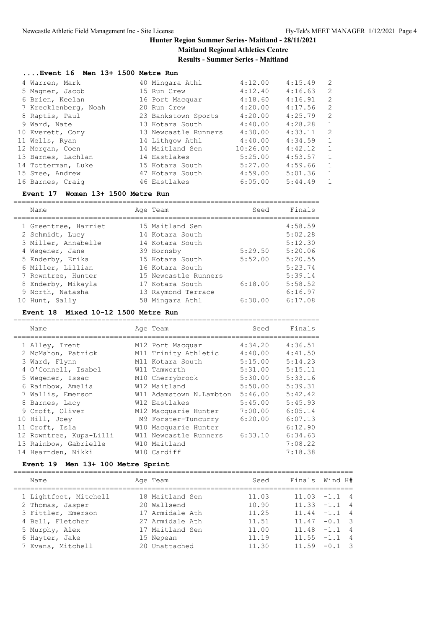**Results - Summer Series - Maitland**

#### **....Event 16 Men 13+ 1500 Metre Run**

| 4 Warren, Mark       | 40 Mingara Athl      | 4:12.00  | 4:15.49 | $\overline{c}$ |
|----------------------|----------------------|----------|---------|----------------|
| 5 Magner, Jacob      | 15 Run Crew          | 4:12.40  | 4:16.63 | 2              |
| 6 Brien, Keelan      | 16 Port Macquar      | 4:18.60  | 4:16.91 | 2              |
| 7 Krecklenberg, Noah | 20 Run Crew          | 4:20.00  | 4:17.56 | 2              |
| 8 Raptis, Paul       | 23 Bankstown Sports  | 4:20.00  | 4:25.79 | 2              |
| 9 Ward, Nate         | 13 Kotara South      | 4:40.00  | 4:28.28 | $\mathbf{1}$   |
| 10 Everett, Cory     | 13 Newcastle Runners | 4:30.00  | 4:33.11 | 2              |
| 11 Wells, Ryan       | 14 Lithgow Athl      | 4:40.00  | 4:34.59 | $\mathbf{1}$   |
| 12 Morgan, Coen      | 14 Maitland Sen      | 10:26.00 | 4:42.12 | $\mathbf{1}$   |
| 13 Barnes, Lachlan   | 14 Eastlakes         | 5:25.00  | 4:53.57 | $\mathbf{1}$   |
| 14 Totterman, Luke   | 15 Kotara South      | 5:27.00  | 4:59.66 | $\mathbf{1}$   |
| 15 Smee, Andrew      | 47 Kotara South      | 4:59.00  | 5:01.36 | $\mathbf{1}$   |
| 16 Barnes, Craig     | 46 Eastlakes         | 6:05.00  | 5:44.49 | $\mathbf{1}$   |
|                      |                      |          |         |                |

#### **Event 17 Women 13+ 1500 Metre Run**

| Name                 | Age Team             | Seed    | Finals  |
|----------------------|----------------------|---------|---------|
| 1 Greentree, Harriet | 15 Maitland Sen      |         | 4:58.59 |
| 2 Schmidt, Lucy      | 14 Kotara South      |         | 5:02.28 |
| 3 Miller, Annabelle  | 14 Kotara South      |         | 5:12.30 |
| 4 Wegener, Jane      | 39 Hornsby           | 5:29.50 | 5:20.06 |
| 5 Enderby, Erika     | 15 Kotara South      | 5:52.00 | 5:20.55 |
| 6 Miller, Lillian    | 16 Kotara South      |         | 5:23.74 |
| 7 Rowntree, Hunter   | 15 Newcastle Runners |         | 5:39.14 |
| 8 Enderby, Mikayla   | 17 Kotara South      | 6:18.00 | 5:58.52 |
| 9 North, Natasha     | 13 Raymond Terrace   |         | 6:16.97 |
| 10 Hunt, Sally       | 58 Mingara Athl      | 6:30.00 | 6:17.08 |

#### **Event 18 Mixed 10-12 1500 Metre Run**

| Name                    | Age Team                | Seed    | Finals  |
|-------------------------|-------------------------|---------|---------|
| 1 Alley, Trent          | M12 Port Macquar        | 4:34.20 | 4:36.51 |
| 2 McMahon, Patrick      | M11 Trinity Athletic    | 4:40.00 | 4:41.50 |
| 3 Ward, Flynn           | M11 Kotara South        | 5:15.00 | 5:14.23 |
| 4 O'Connell, Isabel     | W11 Tamworth            | 5:31.00 | 5:15.11 |
| 5 Wegener, Issac        | M10 Cherrybrook         | 5:30.00 | 5:33.16 |
| 6 Rainbow, Amelia       | W12 Maitland            | 5:50.00 | 5:39.31 |
| 7 Wallis, Emerson       | W11 Adamstown N.Lambton | 5:46.00 | 5:42.42 |
| 8 Barnes, Lacy          | W12 Eastlakes           | 5:45.00 | 5:45.93 |
| 9 Croft, Oliver         | M12 Macquarie Hunter    | 7:00.00 | 6:05.14 |
| 10 Hill, Joey           | M9 Forster-Tuncurry     | 6:20.00 | 6:07.13 |
| 11 Croft, Isla          | W10 Macquarie Hunter    |         | 6:12.90 |
| 12 Rowntree, Kupa-Lilli | W11 Newcastle Runners   | 6:33.10 | 6:34.63 |
| 13 Rainbow, Gabrielle   | W10 Maitland            |         | 7:08.22 |
| 14 Hearnden, Nikki      | W10 Cardiff             |         | 7:18.38 |
|                         |                         |         |         |

## **Event 19 Men 13+ 100 Metre Sprint**

| Name                  | Age Team        | Seed  | Finals Wind H#  |
|-----------------------|-----------------|-------|-----------------|
| 1 Lightfoot, Mitchell | 18 Maitland Sen | 11.03 | $11.03 -1.1 4$  |
| 2 Thomas, Jasper      | 20 Wallsend     | 10.90 | $11.33 -1.1$ 4  |
| 3 Fittler, Emerson    | 17 Armidale Ath | 11.25 | $11.44 - 1.1$ 4 |
| 4 Bell, Fletcher      | 27 Armidale Ath | 11.51 | $11.47 - 0.1$ 3 |
| 5 Murphy, Alex        | 17 Maitland Sen | 11.00 | $11.48 - 1.1$ 4 |
| 6 Hayter, Jake        | 15 Nepean       | 11.19 | $11.55 - 1.1$ 4 |
| 7 Evans, Mitchell     | 20 Unattached   | 11.30 | $11.59 - 0.1$ 3 |
|                       |                 |       |                 |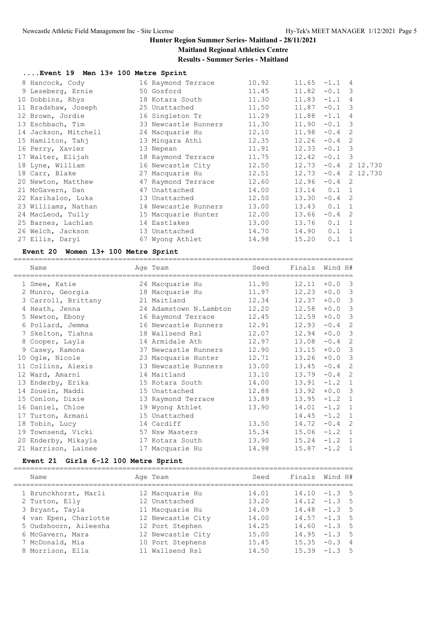# **Maitland Regional Athletics Centre**

**Results - Summer Series - Maitland**

|  |  |  |  |  |  |  |  | Event 19 Men 13+ 100 Metre Sprint |
|--|--|--|--|--|--|--|--|-----------------------------------|
|--|--|--|--|--|--|--|--|-----------------------------------|

| 8 Hancock, Cody      | 16 Raymond Terrace   | 10.92 | 11.65<br>$-1.1$<br>4              |  |
|----------------------|----------------------|-------|-----------------------------------|--|
| 9 Leseberg, Ernie    | 50 Gosford           | 11.45 | $-0.1$ 3<br>11.82                 |  |
| 10 Dobbins, Rhys     | 18 Kotara South      | 11.30 | 11.83<br>$-1.1$<br>$\overline{4}$ |  |
| 11 Bradshaw, Joseph  | 25 Unattached        | 11.50 | 11.87<br>$-0.1$ 3                 |  |
| 12 Brown, Jordie     | 16 Singleton Tr      | 11.29 | 11.88<br>$-1.1$<br>$\overline{4}$ |  |
| 13 Eschbach, Tim     | 33 Newcastle Runners | 11.30 | $-0.1$ 3<br>11.90                 |  |
| 14 Jackson, Mitchell | 24 Macquarie Hu      | 12.10 | $-0.4$<br>11.98<br>$\mathcal{L}$  |  |
| 15 Hamilton, Tahj    | 13 Mingara Athl      | 12.35 | 12.26<br>$-0.4$<br>2              |  |
| 16 Perry, Xavier     | 13 Nepean            | 11.91 | 12.33<br>$-0.1$ 3                 |  |
| 17 Walter, Elijah    | 18 Raymond Terrace   | 11.75 | 12.42<br>$-0.1$ 3                 |  |
| 18 Lyne, William     | 16 Newcastle City    | 12.50 | 12.73<br>$-0.4$<br>2 12.730       |  |
| 18 Carr, Blake       | 27 Macquarie Hu      | 12.51 | $-0.4$<br>2 12.730<br>12.73       |  |
| 20 Newton, Matthew   | 47 Raymond Terrace   | 12.60 | 12.96<br>$-0.4$<br>-2             |  |
| 21 McGavern, Dan     | 47 Unattached        | 14.00 | $13.14$ 0.1 1                     |  |
| 22 Karihaloo, Luka   | 13 Unattached        | 12.50 | 13.30<br>$-0.4$ 2                 |  |
| 23 Williams, Nathan  | 14 Newcastle Runners | 13.00 | $13.43$ 0.1 1                     |  |
| 24 MacLeod, Tully    | 15 Macquarie Hunter  | 12.00 | $-0.4$ 2<br>13.66                 |  |
| 25 Barnes, Lachlan   | 14 Eastlakes         | 13.00 | 13.76<br>$0.1 \quad 1$            |  |
| 26 Welch, Jackson    | 13 Unattached        | 14.70 | 14.90<br>$0.1 \quad 1$            |  |
| 27 Ellis, Daryl      | 67 Wyong Athlet      | 14.98 | 15.20<br>0.1<br>$\mathbf{1}$      |  |

#### **Event 20 Women 13+ 100 Metre Sprint**

================================================================================= Name Age Team Seed Finals Wind H# ================================================================================= 1 Smee, Katie 24 Macquarie Hu 11.90 12.11 +0.0 3 2 Munro, Georgia 18 Macquarie Hu 11.97 12.23 +0.0 3 3 Carroll, Brittany 21 Maitland 12.34 12.37 +0.0 3 4 Heath, Jenna 24 Adamstown N.Lambton 12.20 12.58 +0.0 3 5 Newton, Ebony 16 Raymond Terrace 12.45 12.59 +0.0 3 6 Pollard, Jemma 16 Newcastle Runners 12.91 12.93 -0.4 2 7 Skelton, Tiahna 18 Wallsend Rsl 12.07 12.94 +0.0 3 8 Cooper, Layla 14 Armidale Ath 12.97 13.08 -0.4 2 9 Casey, Ramona 37 Newcastle Runners 12.90 13.15 +0.0 3 10 Ogle, Nicole 23 Macquarie Hunter 12.71 13.26 +0.0 3 11 Collins, Alexis 13 Newcastle Runners 13.00 13.45 -0.4 2 12 Ward, Amarni 14 Maitland 13.10 13.79 -0.4 2 13 Enderby, Erika 15 Kotara South 14.00 13.91 -1.2 1 14 Zouein, Maddi 15 Unattached 12.88 13.92 +0.0 3 15 Conlon, Dixie 13 Raymond Terrace 13.89 13.95 -1.2 1 16 Daniel, Chloe 19 Wyong Athlet 13.90 14.01 -1.2 1 17 Turton, Armani 15 Unattached 14.45 -1.2 1 18 Tobin, Lucy 14 Cardiff 13.50 14.72 -0.4 2 19 Townsend, Vicki 57 Nsw Masters 15.34 15.06 -1.2 1 20 Enderby, Mikayla 17 Kotara South 13.90 15.24 -1.2 1 21 Harrison, Lainee 17 Macquarie Hu 14.98 15.87 -1.2 1

#### **Event 21 Girls 6-12 100 Metre Sprint**

================================================================================= Name **Age Team** Seed Finals Wind H# ================================================================================= 1 Brunckhorst, Marli 12 Macquarie Hu 14.01 14.10 -1.3 5 2 Turton, Elly 12 Unattached 13.20 14.12 -1.3 5 3 Bryant, Tayla 11 Macquarie Hu 14.09 14.48 -1.3 5 4 van Epen, Charlotte 12 Newcastle City 14.00 14.57 -1.3 5 5 Oudshoorn, Aileesha 12 Port Stephen 14.25 14.60 -1.3 5 6 McGavern, Mara 12 Newcastle City 15.00 14.95 -1.3 5 7 McDonald, Mia 10 Port Stephens 15.45 15.35 -0.3 4 8 Morrison, Ella 11 Wallsend Rsl 14.50 15.39 -1.3 5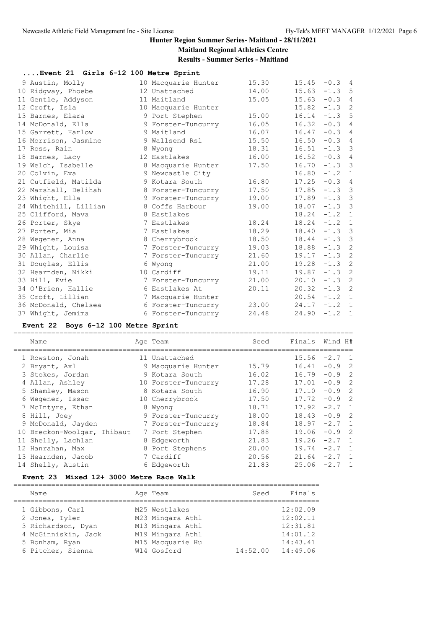# **Maitland Regional Athletics Centre**

**Results - Summer Series - Maitland**

| Event 21 Girls 6-12 100 Metre Sprint |  |  |  |  |  |  |
|--------------------------------------|--|--|--|--|--|--|
|--------------------------------------|--|--|--|--|--|--|

| 9 Austin, Molly       | 10 Macquarie Hunter | 15.30 | 15.45           | $-0.3$ 4 |                |
|-----------------------|---------------------|-------|-----------------|----------|----------------|
| 10 Ridgway, Phoebe    | 12 Unattached       | 14.00 | 15.63           | $-1.3$ 5 |                |
| 11 Gentle, Addyson    | 11 Maitland         | 15.05 | 15.63           | $-0.3$   | $\overline{4}$ |
| 12 Croft, Isla        | 10 Macquarie Hunter |       | 15.82           | $-1.3$   | 2              |
| 13 Barnes, Elara      | 9 Port Stephen      | 15.00 | $16.14 - 1.3$ 5 |          |                |
| 14 McDonald, Ella     | 9 Forster-Tuncurry  | 16.05 | 16.32           | $-0.3$ 4 |                |
| 15 Garrett, Harlow    | 9 Maitland          | 16.07 | 16.47           | $-0.3$   | $\overline{4}$ |
| 16 Morrison, Jasmine  | 9 Wallsend Rsl      | 15.50 | 16.50           | $-0.3$ 4 |                |
| 17 Ross, Rain         | 8 Wyong             | 18.31 | 16.51           | $-1.3$ 3 |                |
| 18 Barnes, Lacy       | 12 Eastlakes        | 16.00 | 16.52           | $-0.3$   | $\overline{4}$ |
| 19 Welch, Isabelle    | 8 Macquarie Hunter  | 17.50 | 16.70           | $-1.3$ 3 |                |
| 20 Colvin, Eva        | 9 Newcastle City    |       | 16.80           | $-1.2$   | $\mathbf{1}$   |
| 21 Cutfield, Matilda  | 9 Kotara South      | 16.80 | 17.25           | $-0.3$ 4 |                |
| 22 Marshall, Delihah  | 8 Forster-Tuncurry  | 17.50 | 17.85           | $-1.3$ 3 |                |
| 23 Whight, Ella       | 9 Forster-Tuncurry  | 19.00 | 17.89           | $-1.3$ 3 |                |
| 24 Whitehill, Lillian | 8 Coffs Harbour     | 19.00 | 18.07           | $-1.3$ 3 |                |
| 25 Clifford, Mava     | 8 Eastlakes         |       | 18.24           | $-1.2$   | $\mathbf{1}$   |
| 26 Porter, Skye       | 7 Eastlakes         | 18.24 | 18.24           | $-1.2$ 1 |                |
| 27 Porter, Mia        | 7 Eastlakes         | 18.29 | $18.40 -1.3$ 3  |          |                |
| 28 Wegener, Anna      | 8 Cherrybrook       | 18.50 | 18.44           | $-1.3$ 3 |                |
| 29 Whight, Louisa     | 7 Forster-Tuncurry  | 19.03 | 18.88           | $-1.3$   | $\overline{2}$ |
| 30 Allan, Charlie     | 7 Forster-Tuncurry  | 21.60 | 19.17           | $-1.3$   | 2              |
| 31 Douglas, Ellis     | 6 Wyong             | 21.00 | 19.28           | $-1.3$   | 2              |
| 32 Hearnden, Nikki    | 10 Cardiff          | 19.11 | 19.87           | $-1.3$   | $\overline{c}$ |
| 33 Hill, Evie         | 7 Forster-Tuncurry  | 21.00 | 20.10           | $-1.3$   | 2              |
| 34 O'Brien, Hallie    | 6 Eastlakes At      | 20.11 | $20.32 -1.3$    |          | 2              |
| 35 Croft, Lillian     | 7 Macquarie Hunter  |       | 20.54           | $-1.2$ 1 |                |
| 36 McDonald, Chelsea  | 6 Forster-Tuncurry  | 23.00 | $24.17 - 1.2$   |          | $\mathbf{1}$   |
| 37 Whight, Jemima     | 6 Forster-Tuncurry  | 24.48 | 24.90           | $-1.2$   | $\overline{1}$ |
|                       |                     |       |                 |          |                |

## **Event 22 Boys 6-12 100 Metre Sprint**

| Name                        | Age Team            | Seed  | Finals | Wind H#                              |  |
|-----------------------------|---------------------|-------|--------|--------------------------------------|--|
| 1 Rowston, Jonah            | 11 Unattached       |       | 15.56  | $-2.7 \quad 1$                       |  |
| 2 Bryant, Axl               | 9 Macquarie Hunter  | 15.79 | 16.41  | $-0.9$ 2                             |  |
| 3 Stokes, Jordan            | 9 Kotara South      | 16.02 | 16.79  | $-0.9$ 2                             |  |
| 4 Allan, Ashley             | 10 Forster-Tuncurry | 17.28 | 17.01  | $-0.9$ 2                             |  |
| 5 Shamley, Mason            | 8 Kotara South      | 16.90 | 17.10  | $-0.9$ 2                             |  |
| 6 Wegener, Issac            | 10 Cherrybrook      | 17.50 | 17.72  | $-0.9$ 2                             |  |
| 7 McIntyre, Ethan           | 8 Wyong             | 18.71 | 17.92  | $-2.7 \quad 1$                       |  |
| 8 Hill, Joey                | 9 Forster-Tuncurry  | 18.00 | 18.43  | $-0.9$ 2                             |  |
| 9 McDonald, Jayden          | 7 Forster-Tuncurry  | 18.84 | 18.97  | $-2.7 \quad 1$                       |  |
| 10 Breckon-Woolgar, Thibaut | 7 Port Stephen      | 17.88 | 19.06  | $\overline{\phantom{0}}^2$<br>$-0.9$ |  |
| 11 Shelly, Lachlan          | 8 Edgeworth         | 21.83 | 19.26  | $-2.7 \quad 1$                       |  |
| 12 Hanrahan, Max            | 8 Port Stephens     | 20.00 | 19.74  | $-2.7 \quad 1$                       |  |
| 13 Hearnden, Jacob          | 7 Cardiff           | 20.56 | 21.64  | $-2.7$<br>$\overline{1}$             |  |
| 14 Shelly, Austin           | 6 Edgeworth         | 21.83 | 25.06  | $-2.7$<br>$\overline{1}$             |  |

#### **Event 23 Mixed 12+ 3000 Metre Race Walk**

| Name                | Age Team         | Seed     | Finals   |
|---------------------|------------------|----------|----------|
|                     |                  |          |          |
| 1 Gibbons, Carl     | M25 Westlakes    |          | 12:02.09 |
| 2 Jones, Tyler      | M23 Mingara Athl |          | 12:02.11 |
| 3 Richardson, Dyan  | M13 Mingara Athl |          | 12:31.81 |
| 4 McGinniskin, Jack | M19 Mingara Athl |          | 14:01.12 |
| 5 Bonham, Ryan      | M15 Macquarie Hu |          | 14:43.41 |
| 6 Pitcher, Sienna   | W14 Gosford      | 14:52.00 | 14:49.06 |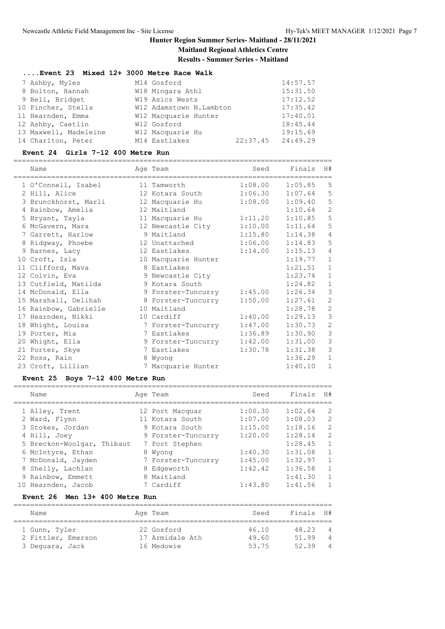**Results - Summer Series - Maitland**

============================================================================

| $\ldots$ Event 23 Mixed 12+ 3000 Metre Race Walk |  |  |  |  |  |  |  |  |
|--------------------------------------------------|--|--|--|--|--|--|--|--|
|--------------------------------------------------|--|--|--|--|--|--|--|--|

| 7 Ashby, Myles        | M14 Gosford             |                       | 14:57.57 |
|-----------------------|-------------------------|-----------------------|----------|
| 8 Bolton, Hannah      | W18 Mingara Athl        |                       | 15:31.50 |
| 9 Bell, Bridget       | W19 Asics Wests         |                       | 17:12.52 |
| 10 Pincher, Stella    | W12 Adamstown N.Lambton |                       | 17:35.42 |
| 11 Hearnden, Emma     | W12 Macquarie Hunter    |                       | 17:40.01 |
| 12 Ashby, Caetlin     | W12 Gosford             |                       | 18:45.44 |
| 13 Maxwell, Madeleine | W12 Macquarie Hu        |                       | 19:15.69 |
| 14 Charlton, Peter    | M14 Eastlakes           | $22:37.45$ $24:49.29$ |          |

#### **Event 24 Girls 7-12 400 Metre Run**

============================================================================ Name Age Team Seed Finals H#

| name                  | Age ream            | seea    | rinais  | H \#           |
|-----------------------|---------------------|---------|---------|----------------|
| 1 O'Connell, Isabel   | 11 Tamworth         | 1:08.00 | 1:05.85 | 5              |
| 2 Hill, Alice         | 12 Kotara South     | 1:06.30 | 1:07.64 | 5              |
| 3 Brunckhorst, Marli  | 12 Macquarie Hu     | 1:08.00 | 1:09.40 | 5              |
| 4 Rainbow, Amelia     | 12 Maitland         |         | 1:10.64 | $\overline{c}$ |
| 5 Bryant, Tayla       | 11 Macquarie Hu     | 1:11.20 | 1:10.85 | 5              |
| 6 McGavern, Mara      | 12 Newcastle City   | 1:10.00 | 1:11.64 | 5              |
| 7 Garrett, Harlow     | 9 Maitland          | 1:15.80 | 1:14.38 | 4              |
| 8 Ridgway, Phoebe     | 12 Unattached       | 1:06.00 | 1:14.83 | $5\phantom{0}$ |
| 9 Barnes, Lacy        | 12 Eastlakes        | 1:14.00 | 1:15.13 | $\overline{4}$ |
| 10 Croft, Isla        | 10 Macquarie Hunter |         | 1:19.77 | $\mathbf{1}$   |
| 11 Clifford, Mava     | 8 Eastlakes         |         | 1:21.51 | $\mathbf{1}$   |
| 12 Colvin, Eva        | 9 Newcastle City    |         | 1:23.74 | $\mathbf{1}$   |
| 13 Cutfield, Matilda  | 9 Kotara South      |         | 1:24.82 | $1\,$          |
| 14 McDonald, Ella     | 9 Forster-Tuncurry  | 1:45.00 | 1:26.34 | $\mathfrak{Z}$ |
| 15 Marshall, Delihah  | 8 Forster-Tuncurry  | 1:50.00 | 1:27.61 | $\sqrt{2}$     |
| 16 Rainbow, Gabrielle | 10 Maitland         |         | 1:28.78 | $\mathbf{2}$   |
| 17 Hearnden, Nikki    | 10 Cardiff          | 1:40.00 | 1:29.13 | $\mathfrak{Z}$ |
| 18 Whight, Louisa     | 7 Forster-Tuncurry  | 1:47.00 | 1:30.73 | $\overline{c}$ |
| 19 Porter, Mia        | 7 Eastlakes         | 1:36.89 | 1:30.90 | $\mathcal{S}$  |
| 20 Whight, Ella       | 9 Forster-Tuncurry  | 1:42.00 | 1:31.00 | 3              |
| 21 Porter, Skye       | 7 Eastlakes         | 1:30.78 | 1:31.38 | $\mathcal{S}$  |
| 22 Ross, Rain         | 8 Wyong             |         | 1:36.29 | $\mathbf 1$    |
| 23 Croft, Lillian     | 7 Macquarie Hunter  |         | 1:40.10 | $\mathbf 1$    |

#### **Event 25 Boys 7-12 400 Metre Run**

| Name                       | Age Team           | Seed    | Finals  | H#             |
|----------------------------|--------------------|---------|---------|----------------|
| 1 Alley, Trent             | 12 Port Macquar    | 1:00.30 | 1:02.64 | 2              |
| 2 Ward, Flynn              | 11 Kotara South    | 1:07.00 | 1:08.03 | 2              |
| 3 Stokes, Jordan           | 9 Kotara South     | 1:15.00 | 1:18.16 | 2              |
| 4 Hill, Joey               | 9 Forster-Tuncurry | 1:20.00 | 1:28.14 | $\overline{2}$ |
| 5 Breckon-Woolgar, Thibaut | 7 Port Stephen     |         | 1:28.45 | $\overline{1}$ |
| 6 McIntyre, Ethan          | 8 Wyong            | 1:40.30 | 1:31.08 | $\mathbf{1}$   |
| 7 McDonald, Jayden         | 7 Forster-Tuncurry | 1:45.00 | 1:32.97 | $\mathbf{1}$   |
| 8 Shelly, Lachlan          | 8 Edgeworth        | 1:42.42 | 1:36.58 | $\mathbf{1}$   |
| 9 Rainbow, Emmett          | 8 Maitland         |         | 1:41.30 |                |
| 10 Hearnden, Jacob         | 7 Cardiff          | 1:43.80 | 1:41.56 |                |

#### **Event 26 Men 13+ 400 Metre Run**

| Name               |  |  | Age Team        | Seed  | Finals H# |                |  |  |  |  |  |
|--------------------|--|--|-----------------|-------|-----------|----------------|--|--|--|--|--|
|                    |  |  |                 |       |           |                |  |  |  |  |  |
| 1 Gunn, Tyler      |  |  | 22 Gosford      | 46.10 | 48.23     | $\overline{4}$ |  |  |  |  |  |
| 2 Fittler, Emerson |  |  | 17 Armidale Ath | 49.60 | 51.99     | $\overline{4}$ |  |  |  |  |  |
| 3 Dequara, Jack    |  |  | 16 Medowie      | 53.75 | 52.39     | $\overline{4}$ |  |  |  |  |  |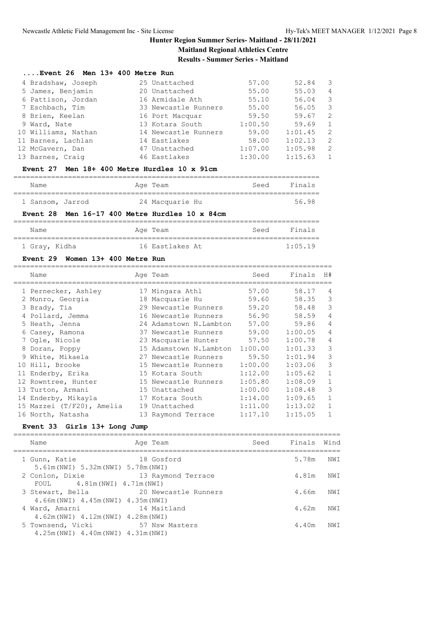**Results - Summer Series - Maitland**

#### **....Event 26 Men 13+ 400 Metre Run**

| 4 Bradshaw, Joseph  | 25 Unattached        | 57.00   | 52.84   | -3             |
|---------------------|----------------------|---------|---------|----------------|
| 5 James, Benjamin   | 20 Unattached        | 55.00   | 55.03   | $\overline{4}$ |
| 6 Pattison, Jordan  | 16 Armidale Ath      | 55.10   | 56.04   | -3             |
| 7 Eschbach, Tim     | 33 Newcastle Runners | 55.00   | 56.05   | -3             |
| 8 Brien, Keelan     | 16 Port Macquar      | 59.50   | 59.67   | -2             |
| 9 Ward, Nate        | 13 Kotara South      | 1:00.50 | 59.69   | 1              |
| 10 Williams, Nathan | 14 Newcastle Runners | 59.00   | 1:01.45 | $\overline{2}$ |
| 11 Barnes, Lachlan  | 14 Eastlakes         | 58.00   | 1:02.13 | $\overline{2}$ |
| 12 McGavern, Dan    | 47 Unattached        | 1:07.00 | 1:05.98 | 2              |
| 13 Barnes, Craig    | 46 Eastlakes         | 1:30.00 | 1:15.63 | $\overline{1}$ |
|                     |                      |         |         |                |

#### **Event 27 Men 18+ 400 Metre Hurdles 10 x 91cm**

| Name             |  | Age Team        | Seed | Finals |
|------------------|--|-----------------|------|--------|
|                  |  |                 |      |        |
| 1 Sansom, Jarrod |  | 24 Macquarie Hu |      | 56.98  |

#### **Event 28 Men 16-17 400 Metre Hurdles 10 x 84cm**

| Name          | Age Team        | Seed | Finals  |
|---------------|-----------------|------|---------|
|               |                 |      |         |
| 1 Gray, Kidha | 16 Eastlakes At |      | 1:05.19 |

#### **Event 29 Women 13+ 400 Metre Run**

| Name                      | Age Team               | Seed    | Finals  | H#             |
|---------------------------|------------------------|---------|---------|----------------|
| 1 Pernecker, Ashley       | 17 Mingara Athl        | 57.00   | 58.17   | 4              |
| 2 Munro, Georgia          | 18 Macquarie Hu        | 59.60   | 58.35   | 3              |
| 3 Brady, Tia              | 29 Newcastle Runners   | 59.20   | 58.48   | 3              |
| 4 Pollard, Jemma          | 16 Newcastle Runners   | 56.90   | 58.59   | $\overline{4}$ |
| 5 Heath, Jenna            | 24 Adamstown N.Lambton | 57.00   | 59.86   | $\overline{4}$ |
| 6 Casey, Ramona           | 37 Newcastle Runners   | 59.00   | 1:00.05 | $\overline{4}$ |
| 7 Ogle, Nicole            | 23 Macquarie Hunter    | 57.50   | 1:00.78 | 4              |
| 8 Doran, Poppy            | 15 Adamstown N.Lambton | 1:00.00 | 1:01.33 | 3              |
| 9 White, Mikaela          | 27 Newcastle Runners   | 59.50   | 1:01.94 | 3              |
| 10 Hill, Brooke           | 15 Newcastle Runners   | 1:00.00 | 1:03.06 | 3              |
| 11 Enderby, Erika         | 15 Kotara South        | 1:12.00 | 1:05.62 | 1              |
| 12 Rowntree, Hunter       | 15 Newcastle Runners   | 1:05.80 | 1:08.09 | 1              |
| 13 Turton, Armani         | 15 Unattached          | 1:00.00 | 1:08.48 | 3              |
| 14 Enderby, Mikayla       | 17 Kotara South        | 1:14.00 | 1:09.65 | 1              |
| 15 Mazzei (T/F20), Amelia | 19 Unattached          | 1:11.00 | 1:13.02 |                |
| 16 North, Natasha         | 13 Raymond Terrace     | 1:17.10 | 1:15.05 |                |

#### **Event 33 Girls 13+ Long Jump**

| Name                                                                       | Age Team             | Seed Finals Wind |       |                 |
|----------------------------------------------------------------------------|----------------------|------------------|-------|-----------------|
| 1 Gunn, Katie<br>5.61m (NWI) 5.32m (NWI) 5.78m (NWI)                       | 18 Gosford           |                  | 5.78m | NW T            |
| 2 Conlon, Dixie<br>FOUL $4.81m(NWI)$ $4.71m(NWI)$                          | 13 Raymond Terrace   |                  | 4.81m | NW <sub>T</sub> |
| 3 Stewart, Bella<br>4.66m (NWI) 4.45m (NWI) 4.35m (NWI)                    | 20 Newcastle Runners |                  | 4.66m | NW T            |
| 4 Ward, Amarni<br>$4.62m(NWI)$ $4.12m(NWI)$ $4.28m(NWI)$                   | 14 Maitland          |                  | 4.62m | NW T            |
| 5 Townsend, Vicki 57 Nsw Masters<br>$4.25m(NWI)$ $4.40m(NWI)$ $4.31m(NWI)$ |                      |                  | 4.40m | NW T            |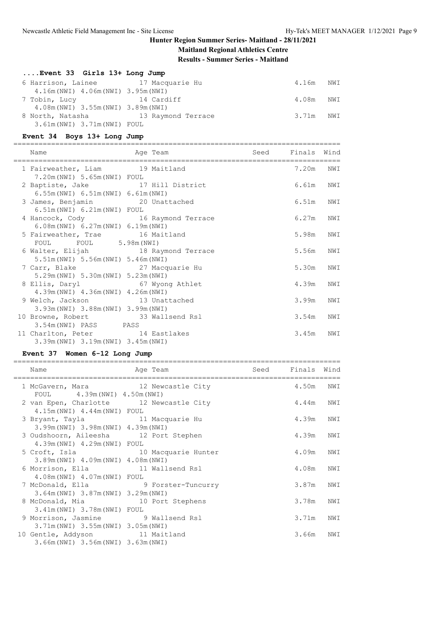# **Maitland Regional Athletics Centre**

**Results - Summer Series - Maitland**

|  | Event 33 Girls 13+ Long Jump |  |  |  |  |  |
|--|------------------------------|--|--|--|--|--|
|--|------------------------------|--|--|--|--|--|

| 6 Harrison, Lainee                  | 17 Macquarie Hu    | 4.16m     | NWI |
|-------------------------------------|--------------------|-----------|-----|
| 4.16m (NWI) 4.06m (NWI) 3.95m (NWI) |                    |           |     |
| 7 Tobin, Lucy                       | 14 Cardiff         | 4.08m NWI |     |
| 4.08m(NWI) 3.55m(NWI) 3.89m(NWI)    |                    |           |     |
| 8 North, Natasha                    | 13 Raymond Terrace | 3.71m NWI |     |
| 3.61m(NWI) 3.71m(NWI) FOUL          |                    |           |     |

## **Event 34 Boys 13+ Long Jump**

| Name                                                                                           | Age Team        | Seed Finals Wind |     |
|------------------------------------------------------------------------------------------------|-----------------|------------------|-----|
| 1 Fairweather, Liam 19 Maitland<br>7.20m (NWI) 5.65m (NWI) FOUL                                |                 | 7.20m NWI        |     |
| 2 Baptiste, Jake 17 Hill District<br>6.55m(NWI) 6.51m(NWI) 6.61m(NWI)                          |                 | 6.61m            | NWI |
| 3 James, Benjamin 20 Unattached<br>6.51m(NWI) 6.21m(NWI) FOUL                                  |                 | 6.51m            | NWI |
| 4 Hancock, Cody 16 Raymond Terrace<br>6.08m(NWI) 6.27m(NWI) 6.19m(NWI)                         |                 | 6.27m            | NWI |
| 5 Fairweather, Trae 16 Maitland                                                                |                 | 5.98m            | NWI |
| FOUL FOUL 5.98m (NWI)<br>6 Walter, Elijah 18 Raymond Terrace                                   |                 | 5.56m            | NWI |
| 5.51m (NWI) 5.56m (NWI) 5.46m (NWI)<br>7 Carr, Blake 27 Macquarie Hu                           |                 | 5.30m            | NWI |
| 5.29m (NWI) 5.30m (NWI) 5.23m (NWI)<br>8 Ellis, Daryl                                          | 67 Wyong Athlet | 4.39m            | NWI |
| $4.39m(NWI)$ $4.36m(NWI)$ $4.26m(NWI)$<br>9 Welch, Jackson 13 Unattached                       |                 | 3.99m            | NWI |
| 3.93m (NWI) 3.88m (NWI) 3.99m (NWI)<br>10 Browne, Robert 33 Wallsend Rsl                       |                 | 3.54m            | NWI |
| 3.54m(NWI) PASS PASS<br>11 Charlton, Peter 14 Eastlakes<br>3.39m (NWI) 3.19m (NWI) 3.45m (NWI) |                 | 3.45m            | NWI |

#### **Event 37 Women 6-12 Long Jump**

| Name<br>------------------------                                                  | Age Team            | Seed | Finals Wind |     |
|-----------------------------------------------------------------------------------|---------------------|------|-------------|-----|
| 1 McGavern, Mara 12 Newcastle City<br>FOUL 4.39m (NWI) 4.50m (NWI)                |                     |      | 4.50m       | NWI |
| 2 van Epen, Charlotte 12 Newcastle City<br>4.15m (NWI) 4.44m (NWI) FOUL           |                     |      | 4.44m       | NWI |
| 3 Bryant, Tayla 11 Macquarie Hu<br>3.99m (NWI) 3.98m (NWI) 4.39m (NWI)            |                     |      | 4.39m       | NWI |
| 3 Oudshoorn, Aileesha 12 Port Stephen<br>4.39m (NWI) 4.29m (NWI) FOUL             |                     |      | 4.39m       | NWI |
| 5 Croft, Isla<br>3.89m (NWI) 4.09m (NWI) 4.08m (NWI)                              | 10 Macquarie Hunter |      | 4.09m       | NWI |
| 6 Morrison, Ella 11 Wallsend Rsl<br>4.08m(NWI) 4.07m(NWI) FOUL                    |                     |      | 4.08m       | NWI |
| 7 McDonald, Ella (2008) 9 Forster-Tuncurry<br>3.64m (NWI) 3.87m (NWI) 3.29m (NWI) |                     |      | 3.87m       | NWI |
| 8 McDonald, Mia<br>3.41m(NWI) 3.78m(NWI) FOUL                                     | 10 Port Stephens    |      | 3.78m       | NWI |
| 9 Morrison, Jasmine 9 Wallsend Rsl<br>3.71m (NWI) 3.55m (NWI) 3.05m (NWI)         |                     |      | 3.71m       | NWI |
| 10 Gentle, Addyson 11 Maitland<br>3.66m (NWI) 3.56m (NWI) 3.63m (NWI)             |                     |      | 3.66m       | NWI |